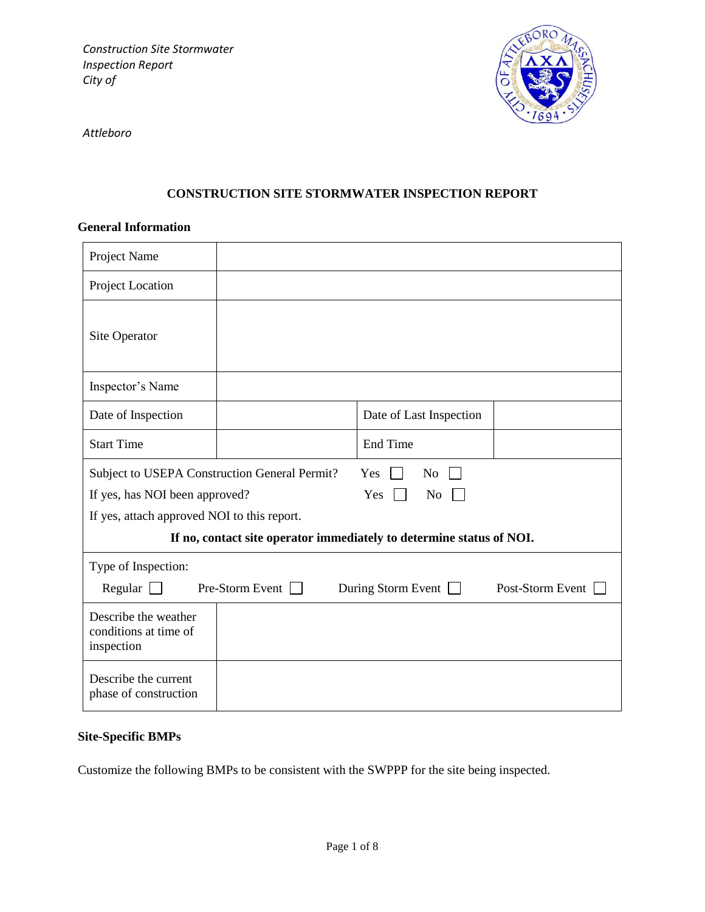

*Attleboro*

# **CONSTRUCTION SITE STORMWATER INSPECTION REPORT**

#### **General Information**

| Project Name                                                         |                                                                        |                           |                  |  |  |
|----------------------------------------------------------------------|------------------------------------------------------------------------|---------------------------|------------------|--|--|
| Project Location                                                     |                                                                        |                           |                  |  |  |
| Site Operator                                                        |                                                                        |                           |                  |  |  |
| Inspector's Name                                                     |                                                                        |                           |                  |  |  |
| Date of Inspection                                                   |                                                                        | Date of Last Inspection   |                  |  |  |
| <b>Start Time</b>                                                    |                                                                        | End Time                  |                  |  |  |
|                                                                      | Subject to USEPA Construction General Permit?<br>N <sub>o</sub><br>Yes |                           |                  |  |  |
|                                                                      | If yes, has NOI been approved?<br>Yes<br>N <sub>o</sub>                |                           |                  |  |  |
| If yes, attach approved NOI to this report.                          |                                                                        |                           |                  |  |  |
| If no, contact site operator immediately to determine status of NOI. |                                                                        |                           |                  |  |  |
| Type of Inspection:                                                  |                                                                        |                           |                  |  |  |
| Regular $\Box$                                                       | Pre-Storm Event                                                        | During Storm Event $\Box$ | Post-Storm Event |  |  |
| Describe the weather<br>conditions at time of<br>inspection          |                                                                        |                           |                  |  |  |
| Describe the current<br>phase of construction                        |                                                                        |                           |                  |  |  |

# **Site-Specific BMPs**

Customize the following BMPs to be consistent with the SWPPP for the site being inspected.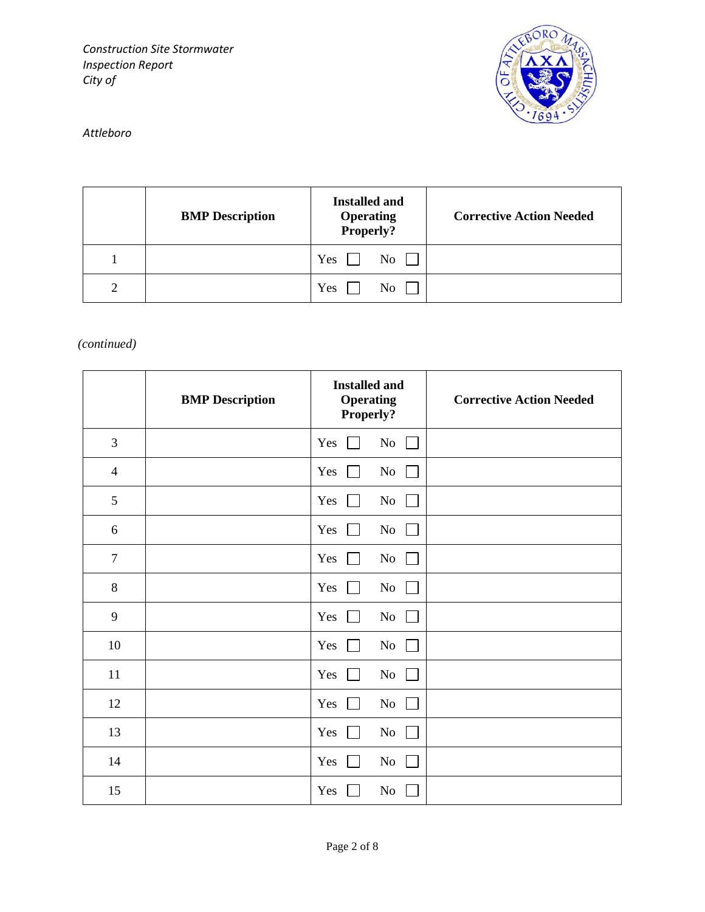

# *Attleboro*

|   | <b>BMP</b> Description | <b>Installed and</b><br><b>Operating</b><br>Properly? | <b>Corrective Action Needed</b> |
|---|------------------------|-------------------------------------------------------|---------------------------------|
|   |                        | Yes<br>No                                             |                                 |
| っ |                        | Yes<br>N <sub>0</sub>                                 |                                 |

# *(continued)*

|                | <b>BMP</b> Description | <b>Installed and</b><br><b>Operating</b><br>Properly? | <b>Corrective Action Needed</b> |
|----------------|------------------------|-------------------------------------------------------|---------------------------------|
| 3              |                        | No<br>Yes<br>$\mathbf{I}$<br>$\mathbf{I}$             |                                 |
| $\overline{4}$ |                        | No<br>Yes<br>$\mathbf{L}$                             |                                 |
| 5              |                        | Yes<br>No                                             |                                 |
| $6\,$          |                        | No<br>Yes<br>$\mathbf{L}$                             |                                 |
| $\overline{7}$ |                        | Yes<br>No<br>$\mathbf{L}$<br>$\vert \ \vert$          |                                 |
| $8\,$          |                        | No<br>Yes<br>$\mathbf{L}$<br>$\perp$                  |                                 |
| 9              |                        | Yes<br>No<br>$\perp$<br>$\perp$                       |                                 |
| $10\,$         |                        | Yes<br>No<br>$\mathbf{L}$<br>$\mathbf{1}$             |                                 |
| $11\,$         |                        | Yes<br>No<br>$\perp$<br>$\perp$                       |                                 |
| 12             |                        | Yes<br>No<br>$\mathbf{L}$<br>$\mathbf{1}$             |                                 |
| 13             |                        | Yes<br>No<br>$\perp$<br>$\mathbf{1}$                  |                                 |
| 14             |                        | Yes<br>No<br>$\mathbf{1}$<br>$\mathbf{I}$             |                                 |
| 15             |                        | Yes<br>No                                             |                                 |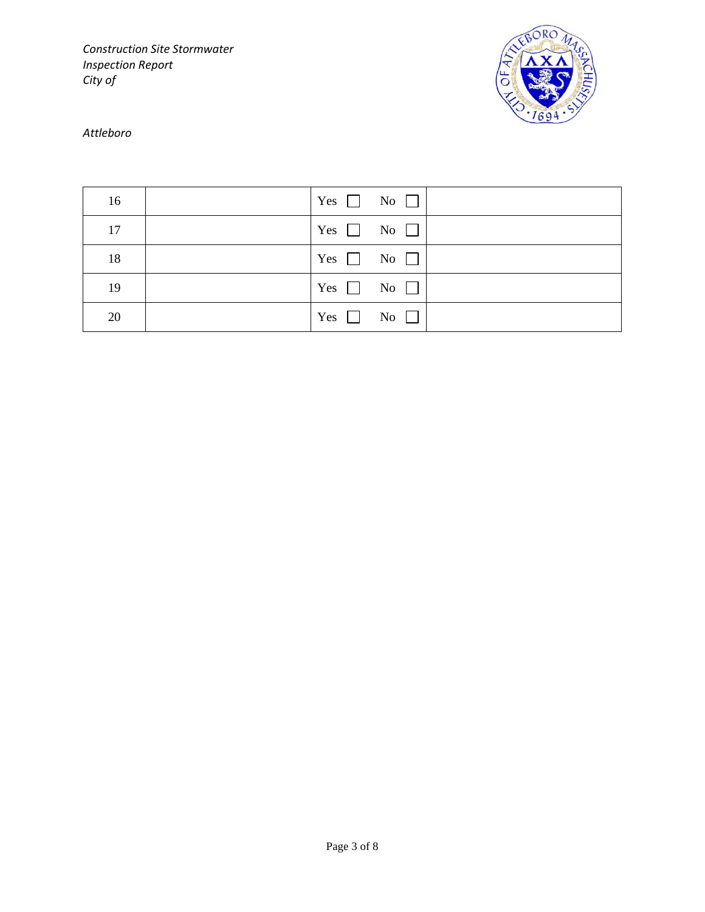

### *Attleboro*

| 16 | $Yes \t No \t$       |  |
|----|----------------------|--|
| 17 | $Yes \t No \t$       |  |
| 18 | Yes $\Box$ No $\Box$ |  |
| 19 | Yes $\Box$ No $\Box$ |  |
| 20 | Yes $\Box$ No $\Box$ |  |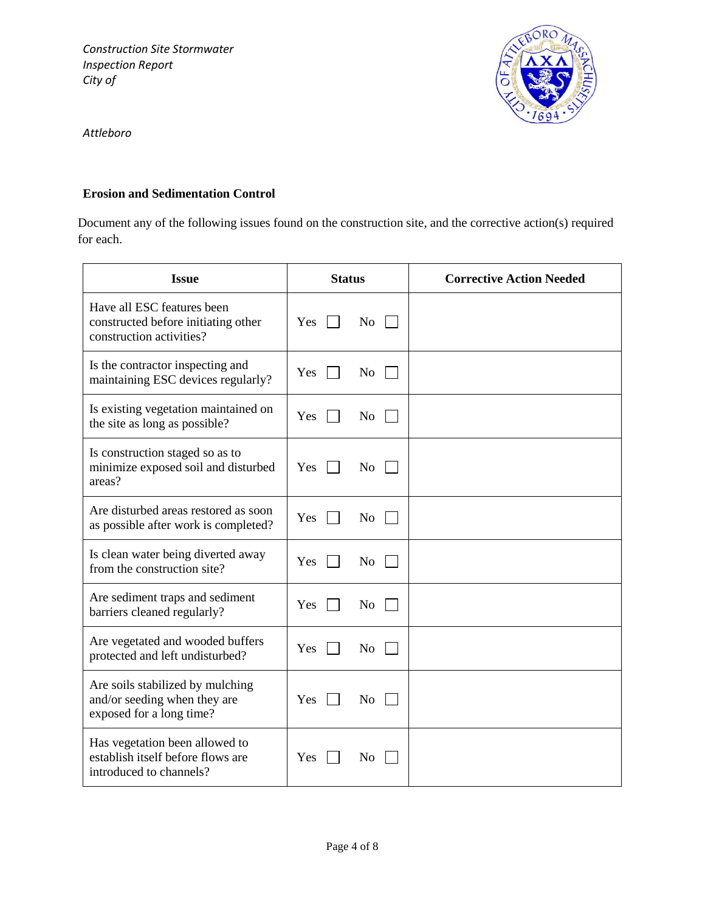

*Attleboro*

#### **Erosion and Sedimentation Control**

Document any of the following issues found on the construction site, and the corrective action(s) required for each.

| <b>Issue</b>                                                                                   | <b>Status</b> |                    | <b>Corrective Action Needed</b> |
|------------------------------------------------------------------------------------------------|---------------|--------------------|---------------------------------|
| Have all ESC features been<br>constructed before initiating other<br>construction activities?  | Yes           | $\overline{N_{O}}$ |                                 |
| Is the contractor inspecting and<br>maintaining ESC devices regularly?                         | Yes           | No                 |                                 |
| Is existing vegetation maintained on<br>the site as long as possible?                          | Yes           | N <sub>o</sub>     |                                 |
| Is construction staged so as to<br>minimize exposed soil and disturbed<br>areas?               | Yes           | N <sub>0</sub>     |                                 |
| Are disturbed areas restored as soon<br>as possible after work is completed?                   | Yes           | N <sub>o</sub>     |                                 |
| Is clean water being diverted away<br>from the construction site?                              | Yes           | N <sub>o</sub>     |                                 |
| Are sediment traps and sediment<br>barriers cleaned regularly?                                 | Yes           | N <sub>o</sub>     |                                 |
| Are vegetated and wooded buffers<br>protected and left undisturbed?                            | <b>Yes</b>    | N <sub>0</sub>     |                                 |
| Are soils stabilized by mulching<br>and/or seeding when they are<br>exposed for a long time?   | Yes           | N <sub>0</sub>     |                                 |
| Has vegetation been allowed to<br>establish itself before flows are<br>introduced to channels? | Yes           | N <sub>0</sub>     |                                 |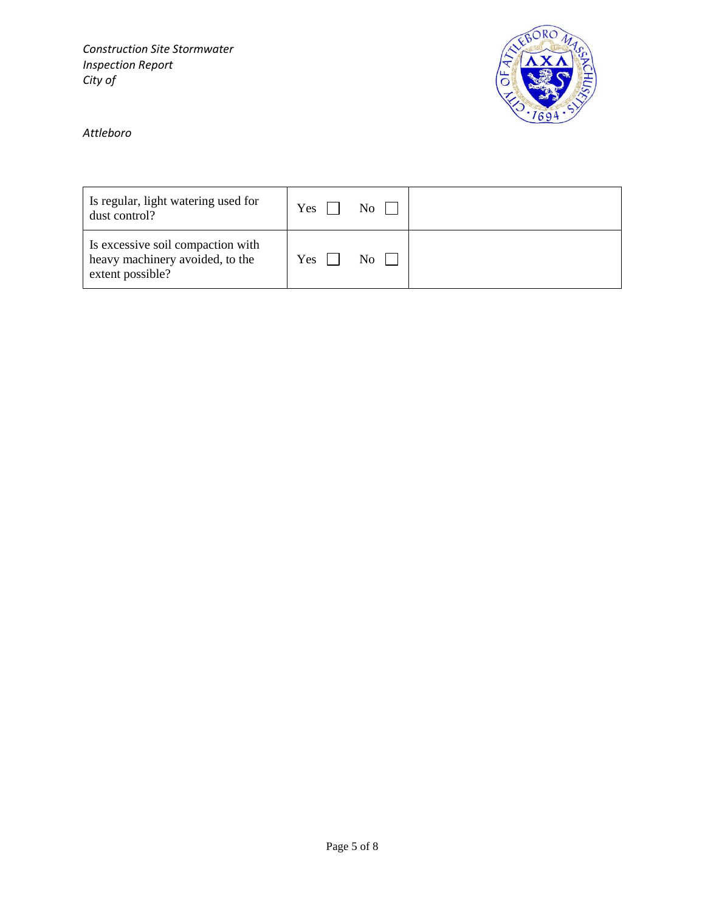

*Attleboro*

| Is regular, light watering used for<br>dust control?                                     | Yes | No.       |  |
|------------------------------------------------------------------------------------------|-----|-----------|--|
| Is excessive soil compaction with<br>heavy machinery avoided, to the<br>extent possible? | Yes | $\rm{No}$ |  |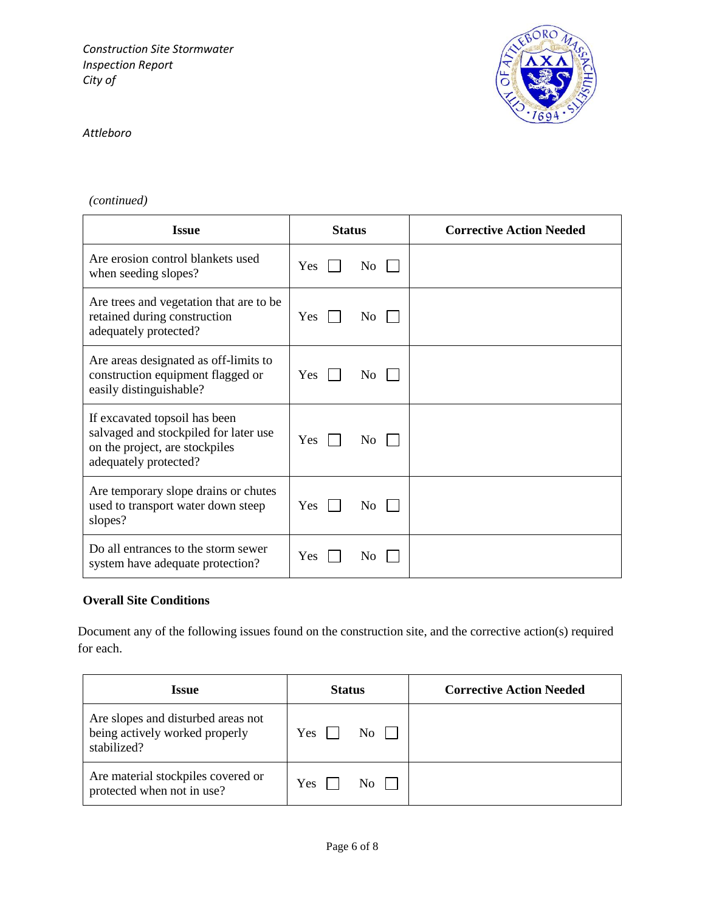

#### *Attleboro*

# *(continued)*

| <b>Issue</b>                                                                                                                      | <b>Status</b>         | <b>Corrective Action Needed</b> |
|-----------------------------------------------------------------------------------------------------------------------------------|-----------------------|---------------------------------|
| Are erosion control blankets used<br>when seeding slopes?                                                                         | Yes<br>No.            |                                 |
| Are trees and vegetation that are to be<br>retained during construction<br>adequately protected?                                  | Yes<br>No             |                                 |
| Are areas designated as off-limits to<br>construction equipment flagged or<br>easily distinguishable?                             | Yes<br>N <sub>0</sub> |                                 |
| If excavated topsoil has been<br>salvaged and stockpiled for later use<br>on the project, are stockpiles<br>adequately protected? | Yes<br>No.            |                                 |
| Are temporary slope drains or chutes<br>used to transport water down steep<br>slopes?                                             | <b>Yes</b><br>No.     |                                 |
| Do all entrances to the storm sewer<br>system have adequate protection?                                                           | Yes<br>N <sub>o</sub> |                                 |

#### **Overall Site Conditions**

Document any of the following issues found on the construction site, and the corrective action(s) required for each.

| Issue                                                                               | <b>Status</b>     | <b>Corrective Action Needed</b> |
|-------------------------------------------------------------------------------------|-------------------|---------------------------------|
| Are slopes and disturbed areas not<br>being actively worked properly<br>stabilized? | Yes<br>No.        |                                 |
| Are material stockpiles covered or<br>protected when not in use?                    | <b>Yes</b><br>No. |                                 |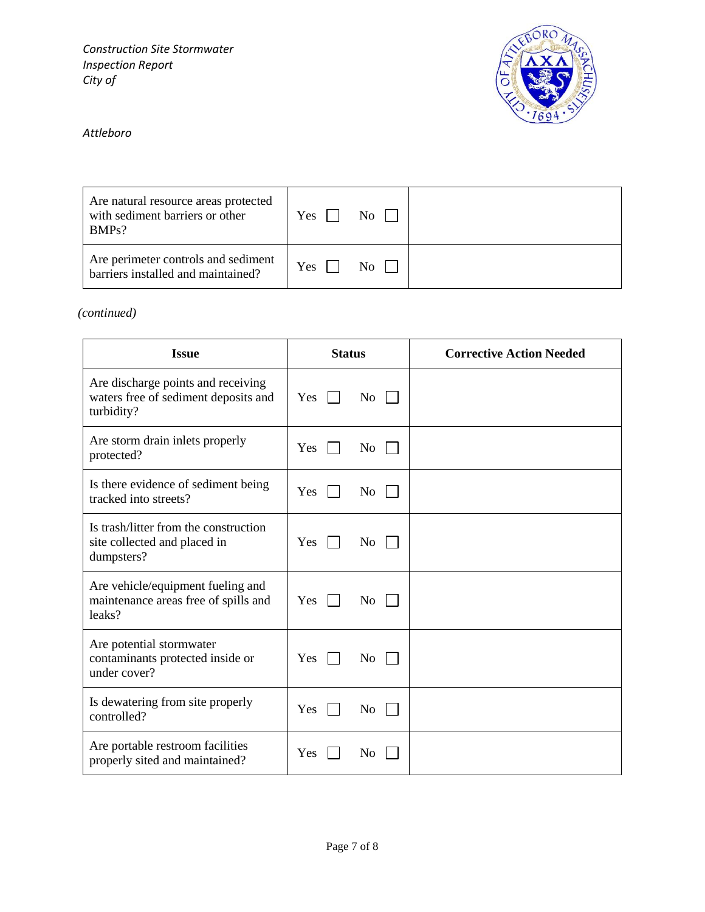

# *Attleboro*

| Are natural resource areas protected<br>with sediment barriers or other<br>BMPs? | Yes | $\overline{N_{0}}$ |  |
|----------------------------------------------------------------------------------|-----|--------------------|--|
| Are perimeter controls and sediment<br>barriers installed and maintained?        | Yes | $\overline{N_0}$   |  |

*(continued)*

| <b>Status</b><br><b>Issue</b>                                                            |                                  | <b>Corrective Action Needed</b> |
|------------------------------------------------------------------------------------------|----------------------------------|---------------------------------|
| Are discharge points and receiving<br>waters free of sediment deposits and<br>turbidity? | <b>Yes</b><br>$\overline{N_{O}}$ |                                 |
| Are storm drain inlets properly<br>protected?                                            | N <sub>o</sub><br>Yes            |                                 |
| Is there evidence of sediment being<br>tracked into streets?                             | Yes<br>N <sub>0</sub>            |                                 |
| Is trash/litter from the construction<br>site collected and placed in<br>dumpsters?      | Yes<br>No.                       |                                 |
| Are vehicle/equipment fueling and<br>maintenance areas free of spills and<br>leaks?      | Yes<br>No.                       |                                 |
| Are potential stormwater<br>contaminants protected inside or<br>under cover?             | Yes<br>No                        |                                 |
| Is dewatering from site properly<br>controlled?                                          | N <sub>o</sub><br>Yes            |                                 |
| Are portable restroom facilities<br>properly sited and maintained?                       | Yes<br>N <sub>0</sub>            |                                 |